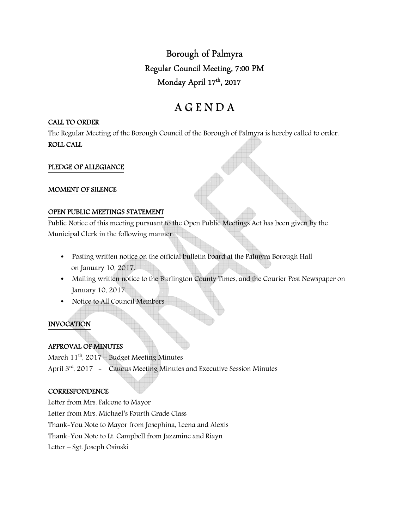Borough of Palmyra Regular Council Meeting, 7:00 PM Monday April 17th , 2017

# A G E N D A

#### CALL TO ORDER

The Regular Meeting of the Borough Council of the Borough of Palmyra is hereby called to order. ROLL CALL

# PLEDGE OF ALLEGIANCE

#### MOMENT OF SILENCE

#### OPEN PUBLIC MEETINGS STATEMENT

Public Notice of this meeting pursuant to the Open Public Meetings Act has been given by the Municipal Clerk in the following manner:

- Posting written notice on the official bulletin board at the Palmyra Borough Hall on January 10, 2017.
- Mailing written notice to the Burlington County Times, and the Courier Post Newspaper on January 10, 2017.
- Notice to All Council Members.

# INVOCATION

# APPROVAL OF MINUTES

March  $11^{th}$ , 2017 – Budget Meeting Minutes April 3<sup>rd</sup>, 2017 - Caucus Meeting Minutes and Executive Session Minutes

# **CORRESPONDENCE**

Letter from Mrs. Falcone to Mayor Letter from Mrs. Michael's Fourth Grade Class Thank-You Note to Mayor from Josephina, Leena and Alexis Thank-You Note to Lt. Campbell from Jazzmine and Riayn Letter – Sgt. Joseph Osinski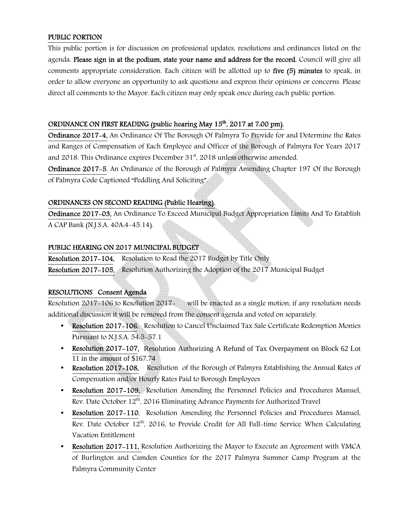# PUBLIC PORTION

This public portion is for discussion on professional updates, resolutions and ordinances listed on the agenda. Please sign in at the podium, state your name and address for the record. Council will give all comments appropriate consideration. Each citizen will be allotted up to five (5) minutes to speak, in order to allow everyone an opportunity to ask questions and express their opinions or concerns. Please direct all comments to the Mayor. Each citizen may only speak once during each public portion.

# ORDINANCE ON FIRST READING (public hearing May 15<sup>th</sup>, 2017 at 7.00 pm).

Ordinance 2017-4, An Ordinance Of The Borough Of Palmyra To Provide for and Determine the Rates and Ranges of Compensation of Each Employee and Officer of the Borough of Palmyra For Years 2017 and 2018. This Ordinance expires December  $31<sup>st</sup>$ , 2018 unless otherwise amended.

Ordinance 2017-5, An Ordinance of the Borough of Palmyra Amending Chapter 197 Of the Borough of Palmyra Code Captioned "Peddling And Soliciting".

# ORDINANCES ON SECOND READING (Public Hearing).

Ordinance 2017-03, An Ordinance To Exceed Municipal Budget Appropriation Limits And To Establish A CAP Bank (N.J.S.A. 40A:4-45.14).

#### PUBLIC HEARING ON 2017 MUNICIPAL BUDGET

Resolution 2017-104, Resolution to Read the 2017 Budget by Title Only Resolution 2017-105, Resolution Authorizing the Adoption of the 2017 Municipal Budget

# RESOLUTIONS Consent Agenda

Resolution 2017-106 to Resolution 2017- will be enacted as a single motion, if any resolution needs additional discussion it will be removed from the consent agenda and voted on separately.

- Resolution 2017–106, Resolution to Cancel Unclaimed Tax Sale Certificate Redemption Monies Pursuant to N.J.S.A. 54:5-57.1
- Resolution 2017–107, Resolution Authorizing A Refund of Tax Overpayment on Block 62 Lot 11 in the amount of \$167.74
- Resolution 2017–108, Resolution of the Borough of Palmyra Establishing the Annual Rates of Compensation and/or Hourly Rates Paid to Borough Employees
- Resolution 2017-109, Resolution Amending the Personnel Policies and Procedures Manuel, Rev. Date October 12<sup>th</sup>, 2016 Eliminating Advance Payments for Authorized Travel
- Resolution 2017–110. Resolution Amending the Personnel Policies and Procedures Manuel. Rev. Date October 12th, 2016, to Provide Credit for All Full-time Service When Calculating Vacation Entitlement
- Resolution 2017–111, Resolution Authorizing the Mayor to Execute an Agreement with YMCA of Burlington and Camden Counties for the 2017 Palmyra Summer Camp Program at the Palmyra Community Center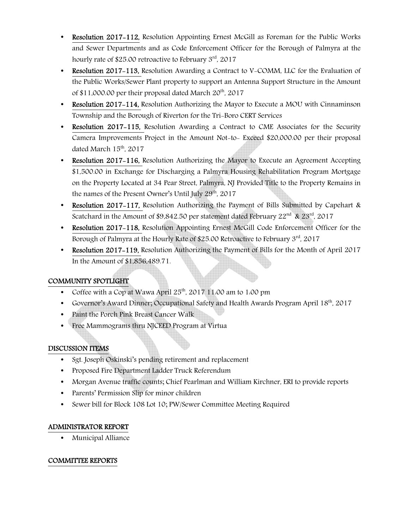- Resolution 2017-112, Resolution Appointing Ernest McGill as Foreman for the Public Works and Sewer Departments and as Code Enforcement Officer for the Borough of Palmyra at the hourly rate of \$25.00 retroactive to February 3<sup>rd</sup>, 2017
- Resolution 2017-113, Resolution Awarding a Contract to V-COMM, LLC for the Evaluation of the Public Works/Sewer Plant property to support an Antenna Support Structure in the Amount of \$11,000.00 per their proposal dated March  $20^{th}$ , 2017
- Resolution 2017–114, Resolution Authorizing the Mayor to Execute a MOU with Cinnaminson Township and the Borough of Riverton for the Tri-Boro CERT Services
- Resolution 2017–115, Resolution Awarding a Contract to CME Associates for the Security Camera Improvements Project in the Amount Not-to- Exceed \$20,000.00 per their proposal dated March 15<sup>th</sup>, 2017
- Resolution 2017–116, Resolution Authorizing the Mayor to Execute an Agreement Accepting \$1,500.00 in Exchange for Discharging a Palmyra Housing Rehabilitation Program Mortgage on the Property Located at 34 Pear Street, Palmyra, NJ Provided Title to the Property Remains in the names of the Present Owner's Until July  $29<sup>th</sup>$ , 2017
- Resolution 2017–117, Resolution Authorizing the Payment of Bills Submitted by Capehart & Scatchard in the Amount of \$9,842.50 per statement dated February  $22^{nd}$  &  $23^{rd}$ , 2017
- Resolution 2017–118, Resolution Appointing Ernest McGill Code Enforcement Officer for the Borough of Palmyra at the Hourly Rate of \$25.00 Retroactive to February 3<sup>rd</sup>, 2017
- Resolution 2017-119, Resolution Authorizing the Payment of Bills for the Month of April 2017 In the Amount of \$1,856,489.71.

# COMMUNITY SPOTLIGHT

- Coffee with a Cop at Wawa April  $25<sup>th</sup>$ , 2017 11:00 am to 1:00 pm
- Governor's Award Dinner; Occupational Safety and Health Awards Program April  $18<sup>th</sup>$ , 2017
- Paint the Porch Pink Breast Cancer Walk
- Free Mammograms thru NJCEED Program at Virtua

# DISCUSSION ITEMS

- Sgt. Joseph Oskinski's pending retirement and replacement
- Proposed Fire Department Ladder Truck Referendum
- Morgan Avenue traffic counts; Chief Pearlman and William Kirchner, ERI to provide reports
- Parents' Permission Slip for minor children
- Sewer bill for Block 108 Lot 10; PW/Sewer Committee Meeting Required

# ADMINISTRATOR REPORT

• Municipal Alliance

# COMMITTEE REPORTS